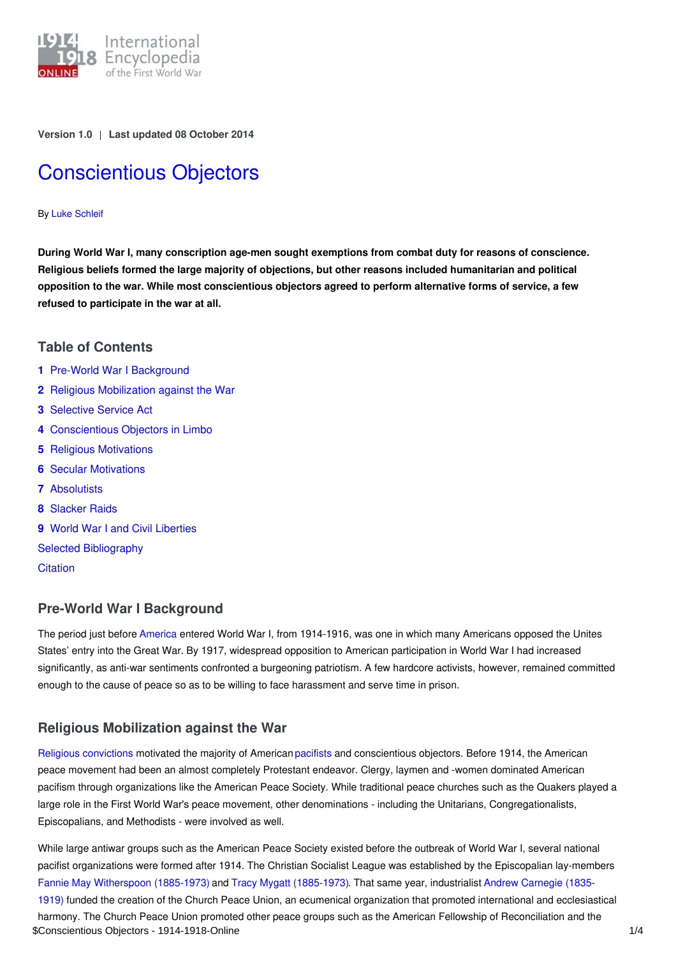

**Version 1.0** | **Last updated 08 October 2014**

# [Conscientious](https://encyclopedia.1914-1918-online.net/article/conscientious_objectors) Objectors

#### By Luke [Schleif](https://encyclopedia.1914-1918-online.net/contributors/Luke_Schleif)

**During World War I, many conscription age-men sought exemptions from combat duty for reasons of conscience. Religious beliefs formed the large majority of objections, but other reasons included humanitarian and political** opposition to the war. While most conscientious objectors agreed to perform alternative forms of service, a few **refused to participate in the war at all.**

#### **Table of Contents**

- **1** Pre-World War I [Background](#page-0-0)
- **2** Religious [Mobilization](#page-0-1) against the War
- **3** [Selective](#page-1-0) Service Act
- **4** [Conscientious](#page-1-1) Objectors in Limbo
- **5** Religious [Motivations](#page-1-2)
- **6** Secular [Motivations](#page-1-3)
- **7** [Absolutists](#page-1-4)
- **8** [Slacker](#page-2-0) Raids
- **9** World War I and Civil [Liberties](#page-2-1)

Selected [Bibliography](#page-2-2)

**[Citation](#page-2-3)** 

# <span id="page-0-0"></span>**Pre-World War I Background**

The period just before [America](http://ui:CeDiS1418@encyclopedia.1914-1918-online.net/article/united_states_of_america) entered World War I, from 1914-1916, was one in which many Americans opposed the Unites States' entry into the Great War. By 1917, widespread opposition to American participation in World War I had increased significantly, as anti-war sentiments confronted a burgeoning patriotism. A few hardcore activists, however, remained committed enough to the cause of peace so as to be willing to face harassment and serve time in prison.

# <span id="page-0-1"></span>**Religious Mobilization against the War**

Religious [convictions](http://ui:CeDiS1418@encyclopedia.1914-1918-online.net/article/religious_mobilization_and_popular_belief) motivated the majority of American [pacifists](http://ui:CeDiS1418@encyclopedia.1914-1918-online.net/article/pacifism) and conscientious objectors. Before 1914, the American peace movement had been an almost completely Protestant endeavor. Clergy, laymen and -women dominated American pacifism through organizations like the American Peace Society. While traditional peace churches such as the Quakers played a large role in the First World War's peace movement, other denominations - including the Unitarians, Congregationalists, Episcopalians, and Methodists - were involved as well.

While large antiwar groups such as the American Peace Society existed before the outbreak of World War I, several national pacifist organizations were formed after 1914. The Christian Socialist League was established by the Episcopalian lay-members Fannie May [Witherspoon](http://ui:CeDiS1418@encyclopedia.1914-1918-online.net/index/names/105482715X) (1885-1973) and Tracy Mygatt [\(1885-1973\).](http://ui:CeDiS1418@encyclopedia.1914-1918-online.net/index/names/11866719X) That same year, industrialist Andrew Carnegie (1835- 1919) funded the creation of the Church Peace Union, an ecumenical organization that promoted international and ecclesiastical harmony. The Church Peace Union promoted other peace groups such as the American Fellowship of Reconciliation and the \$Conscientious Objectors - 1914-1918-Online 1/4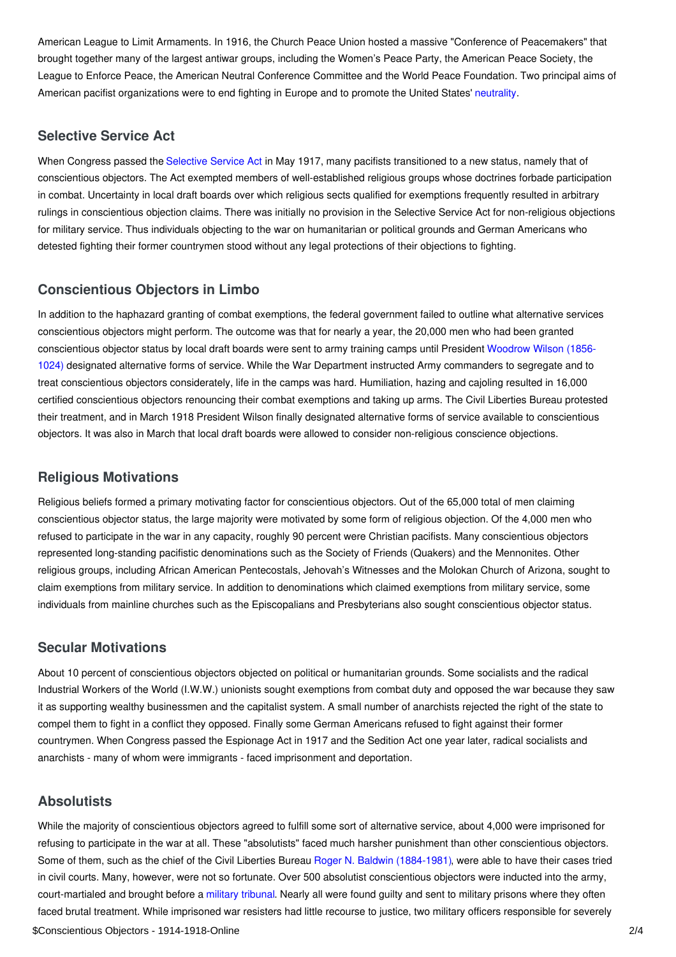American League to Limit Armaments. In 1916, the Church Peace Union hosted a massive "Conference of Peacemakers" that brought together many of the largest antiwar groups, including the Women's Peace Party, the American Peace Society, the League to Enforce Peace, the American Neutral Conference Committee and the World Peace Foundation. Two principal aims of American pacifist organizations were to end fighting in Europe and to promote the United States' [neutrality](http://ui:CeDiS1418@encyclopedia.1914-1918-online.net/article/neutrality).

## <span id="page-1-0"></span>**Selective Service Act**

When Congress passed the [Selective](http://ui:CeDiS1418@encyclopedia.1914-1918-online.net/article/selective_service_act) Service Act in May 1917, many pacifists transitioned to a new status, namely that of conscientious objectors. The Act exempted members of well-established religious groups whose doctrines forbade participation in combat. Uncertainty in local draft boards over which religious sects qualified for exemptions frequently resulted in arbitrary rulings in conscientious objection claims. There was initially no provision in the Selective Service Act for non-religious objections for military service. Thus individuals objecting to the war on humanitarian or political grounds and German Americans who detested fighting their former countrymen stood without any legal protections of their objections to fighting.

## <span id="page-1-1"></span>**Conscientious Objectors in Limbo**

In addition to the haphazard granting of combat exemptions, the federal government failed to outline what alternative services conscientious objectors might perform. The outcome was that for nearly a year, the 20,000 men who had been granted [conscientious](http://ui:CeDiS1418@encyclopedia.1914-1918-online.net/index/names/118643401) objector status by local draft boards were sent to army training camps until President Woodrow Wilson (1856- 1024) designated alternative forms of service. While the War Department instructed Army commanders to segregate and to treat conscientious objectors considerately, life in the camps was hard. Humiliation, hazing and cajoling resulted in 16,000 certified conscientious objectors renouncing their combat exemptions and taking up arms. The Civil Liberties Bureau protested their treatment, and in March 1918 President Wilson finally designated alternative forms of service available to conscientious objectors. It was also in March that local draft boards were allowed to consider non-religious conscience objections.

#### <span id="page-1-2"></span>**Religious Motivations**

Religious beliefs formed a primary motivating factor for conscientious objectors. Out of the 65,000 total of men claiming conscientious objector status, the large majority were motivated by some form of religious objection. Of the 4,000 men who refused to participate in the war in any capacity, roughly 90 percent were Christian pacifists. Many conscientious objectors represented long-standing pacifistic denominations such as the Society of Friends (Quakers) and the Mennonites. Other religious groups, including African American Pentecostals, Jehovah's Witnesses and the Molokan Church of Arizona, sought to claim exemptions from military service. In addition to denominations which claimed exemptions from military service, some individuals from mainline churches such as the Episcopalians and Presbyterians also sought conscientious objector status.

#### <span id="page-1-3"></span>**Secular Motivations**

About 10 percent of conscientious objectors objected on political or humanitarian grounds. Some socialists and the radical Industrial Workers of the World (I.W.W.) unionists sought exemptions from combat duty and opposed the war because they saw it as supporting wealthy businessmen and the capitalist system. A small number of anarchists rejected the right of the state to compel them to fight in a conflict they opposed. Finally some German Americans refused to fight against their former countrymen. When Congress passed the Espionage Act in 1917 and the Sedition Act one year later, radical socialists and anarchists - many of whom were immigrants - faced imprisonment and deportation.

# <span id="page-1-4"></span>**Absolutists**

While the majority of conscientious objectors agreed to fulfill some sort of alternative service, about 4,000 were imprisoned for refusing to participate in the war at all. These "absolutists" faced much harsher punishment than other conscientious objectors. Some of them, such as the chief of the Civil Liberties Bureau Roger N. Baldwin [\(1884-1981\)](http://ui:CeDiS1418@encyclopedia.1914-1918-online.net/index/names/11604313X), were able to have their cases tried in civil courts. Many, however, were not so fortunate. Over 500 absolutist conscientious objectors were inducted into the army, court-martialed and brought before a military [tribunal.](http://ui:CeDiS1418@encyclopedia.1914-1918-online.net/article/military_justice) Nearly all were found guilty and sent to military prisons where they often faced brutal treatment. While imprisoned war resisters had little recourse to justice, two military officers responsible for severely \$Conscientious Objectors - 1914-1918-Online 2/4